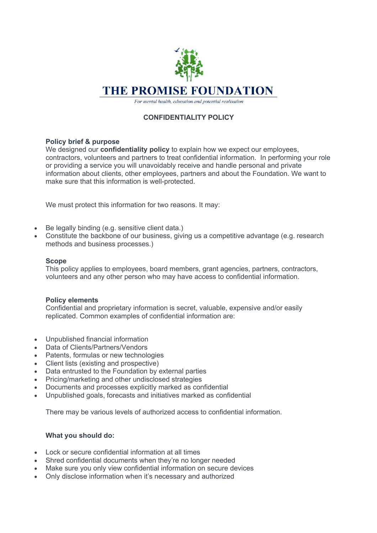

For mental health, education and potential realisation

# **CONFIDENTIALITY POLICY**

# **Policy brief & purpose**

We designed our **confidentiality policy** to explain how we expect our employees, contractors, volunteers and partners to treat confidential information. In performing your role or providing a service you will unavoidably receive and handle personal and private information about clients, other employees, partners and about the Foundation. We want to make sure that this information is well-protected.

We must protect this information for two reasons. It may:

- Be legally binding (e.g. sensitive client data.)
- Constitute the backbone of our business, giving us a competitive advantage (e.g. research methods and business processes.)

# **Scope**

This policy applies to employees, board members, grant agencies, partners, contractors, volunteers and any other person who may have access to confidential information.

## **Policy elements**

Confidential and proprietary information is secret, valuable, expensive and/or easily replicated. Common examples of confidential information are:

- Unpublished financial information
- Data of Clients/Partners/Vendors
- Patents, formulas or new technologies
- Client lists (existing and prospective)
- Data entrusted to the Foundation by external parties
- Pricing/marketing and other undisclosed strategies
- Documents and processes explicitly marked as confidential
- Unpublished goals, forecasts and initiatives marked as confidential

There may be various levels of authorized access to confidential information.

## **What you should do:**

- Lock or secure confidential information at all times
- Shred confidential documents when they're no longer needed
- Make sure you only view confidential information on secure devices
- Only disclose information when it's necessary and authorized